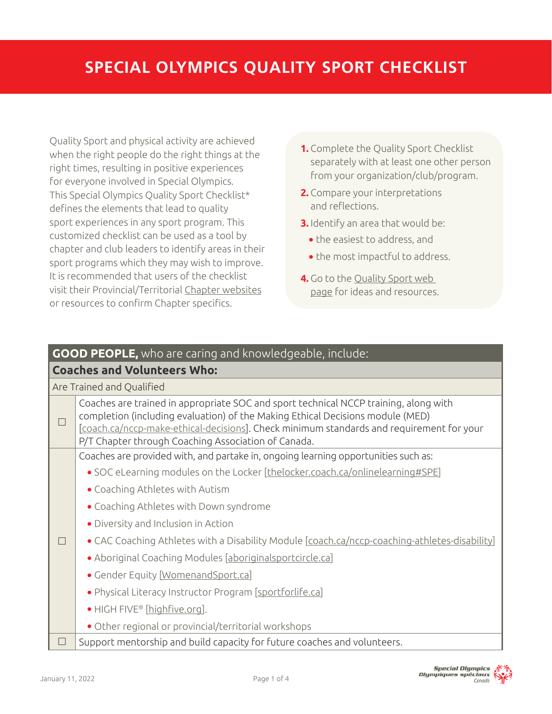Quality Sport and physical activity are achieved when the right people do the right things at the right times, resulting in positive experiences for everyone involved in Special Olympics. This Special Olympics Quality Sport Checklist\* defines the elements that lead to quality sport experiences in any sport program. This customized checklist can be used as a tool by chapter and club leaders to identify areas in their sport programs which they may wish to improve. It is recommended that users of the checklist visit their Provincial/Territorial [Chapter websites](https://www.specialolympics.ca/learn/about-special-olympics-canada/our-chapters) or resources to confirm Chapter specifics.

- **1.** Complete the Quality Sport Checklist separately with at least one other person from your organization/club/program.
- **2.** Compare your interpretations and reflections.
- **3.** Identify an area that would be:
	- **•** the easiest to address, and
	- **•** the most impactful to address.
- **4.** Go to the [Quality Sport web](https://sportforlife.ca/quality-sport/)  [page](https://sportforlife.ca/quality-sport/) for ideas and resources.

## **GOOD PEOPLE,** who are caring and knowledgeable, include:

## **Coaches and Volunteers Who:**

| Are Trained and Qualified |                                                                                                                                                                                                                                                                                                                           |  |
|---------------------------|---------------------------------------------------------------------------------------------------------------------------------------------------------------------------------------------------------------------------------------------------------------------------------------------------------------------------|--|
| П                         | Coaches are trained in appropriate SOC and sport technical NCCP training, along with<br>completion (including evaluation) of the Making Ethical Decisions module (MED)<br>[coach.ca/nccp-make-ethical-decisions]. Check minimum standards and requirement for your<br>P/T Chapter through Coaching Association of Canada. |  |
| $\Box$                    | Coaches are provided with, and partake in, ongoing learning opportunities such as:                                                                                                                                                                                                                                        |  |
|                           | • SOC eLearning modules on the Locker [thelocker.coach.ca/onlinelearning#SPE]                                                                                                                                                                                                                                             |  |
|                           | • Coaching Athletes with Autism                                                                                                                                                                                                                                                                                           |  |
|                           | • Coaching Athletes with Down syndrome                                                                                                                                                                                                                                                                                    |  |
|                           | • Diversity and Inclusion in Action                                                                                                                                                                                                                                                                                       |  |
|                           | • CAC Coaching Athletes with a Disability Module [coach.ca/nccp-coaching-athletes-disability]                                                                                                                                                                                                                             |  |
|                           | • Aboriginal Coaching Modules [aboriginalsportcircle.ca]                                                                                                                                                                                                                                                                  |  |
|                           | • Gender Equity [WomenandSport.ca]                                                                                                                                                                                                                                                                                        |  |
|                           | • Physical Literacy Instructor Program [sportforlife.ca]                                                                                                                                                                                                                                                                  |  |
|                           | • HIGH FIVE <sup>®</sup> [highfive.org].                                                                                                                                                                                                                                                                                  |  |
|                           | • Other regional or provincial/territorial workshops                                                                                                                                                                                                                                                                      |  |
| П                         | Support mentorship and build capacity for future coaches and volunteers.                                                                                                                                                                                                                                                  |  |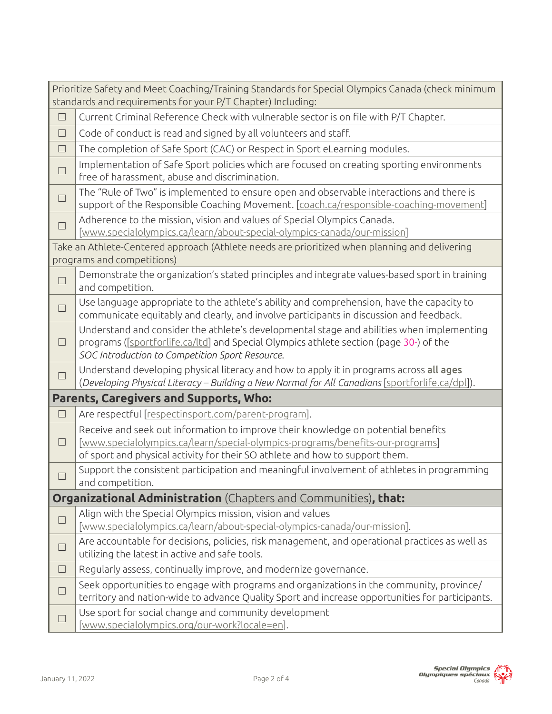| Prioritize Safety and Meet Coaching/Training Standards for Special Olympics Canada (check minimum<br>standards and requirements for your P/T Chapter) Including: |                                                                                                                                                                                                                                                     |  |  |
|------------------------------------------------------------------------------------------------------------------------------------------------------------------|-----------------------------------------------------------------------------------------------------------------------------------------------------------------------------------------------------------------------------------------------------|--|--|
| $\Box$                                                                                                                                                           | Current Criminal Reference Check with vulnerable sector is on file with P/T Chapter.                                                                                                                                                                |  |  |
| $\Box$                                                                                                                                                           | Code of conduct is read and signed by all volunteers and staff.                                                                                                                                                                                     |  |  |
| $\Box$                                                                                                                                                           | The completion of Safe Sport (CAC) or Respect in Sport eLearning modules.                                                                                                                                                                           |  |  |
| $\Box$                                                                                                                                                           | Implementation of Safe Sport policies which are focused on creating sporting environments<br>free of harassment, abuse and discrimination.                                                                                                          |  |  |
| $\Box$                                                                                                                                                           | The "Rule of Two" is implemented to ensure open and observable interactions and there is<br>support of the Responsible Coaching Movement. [coach.ca/responsible-coaching-movement]                                                                  |  |  |
| $\Box$                                                                                                                                                           | Adherence to the mission, vision and values of Special Olympics Canada.<br>[www.specialolympics.ca/learn/about-special-olympics-canada/our-mission]                                                                                                 |  |  |
| Take an Athlete-Centered approach (Athlete needs are prioritized when planning and delivering<br>programs and competitions)                                      |                                                                                                                                                                                                                                                     |  |  |
| $\Box$                                                                                                                                                           | Demonstrate the organization's stated principles and integrate values-based sport in training<br>and competition.                                                                                                                                   |  |  |
| $\Box$                                                                                                                                                           | Use language appropriate to the athlete's ability and comprehension, have the capacity to<br>communicate equitably and clearly, and involve participants in discussion and feedback.                                                                |  |  |
| □                                                                                                                                                                | Understand and consider the athlete's developmental stage and abilities when implementing<br>programs ([sportforlife.ca/ltd] and Special Olympics athlete section (page 30-) of the<br>SOC Introduction to Competition Sport Resource.              |  |  |
| □                                                                                                                                                                | Understand developing physical literacy and how to apply it in programs across all ages<br>(Developing Physical Literacy - Building a New Normal for All Canadians [sportforlife.ca/dpl]).                                                          |  |  |
|                                                                                                                                                                  | <b>Parents, Caregivers and Supports, Who:</b>                                                                                                                                                                                                       |  |  |
| $\Box$                                                                                                                                                           | Are respectful [respectinsport.com/parent-program].                                                                                                                                                                                                 |  |  |
| □                                                                                                                                                                | Receive and seek out information to improve their knowledge on potential benefits<br>[www.specialolympics.ca/learn/special-olympics-programs/benefits-our-programs]<br>of sport and physical activity for their SO athlete and how to support them. |  |  |
| $\blacksquare$                                                                                                                                                   | Support the consistent participation and meaningful involvement of athletes in programming<br>and competition.                                                                                                                                      |  |  |
|                                                                                                                                                                  | Organizational Administration (Chapters and Communities), that:                                                                                                                                                                                     |  |  |
| . I                                                                                                                                                              | Align with the Special Olympics mission, vision and values<br>[www.specialolympics.ca/learn/about-special-olympics-canada/our-mission].                                                                                                             |  |  |
| $\Box$                                                                                                                                                           | Are accountable for decisions, policies, risk management, and operational practices as well as<br>utilizing the latest in active and safe tools.                                                                                                    |  |  |
| $\overline{\phantom{a}}$                                                                                                                                         | Regularly assess, continually improve, and modernize governance.                                                                                                                                                                                    |  |  |
| $\Box$                                                                                                                                                           | Seek opportunities to engage with programs and organizations in the community, province/<br>territory and nation-wide to advance Quality Sport and increase opportunities for participants.                                                         |  |  |
|                                                                                                                                                                  | Use sport for social change and community development<br>[www.specialolympics.org/our-work?locale=en].                                                                                                                                              |  |  |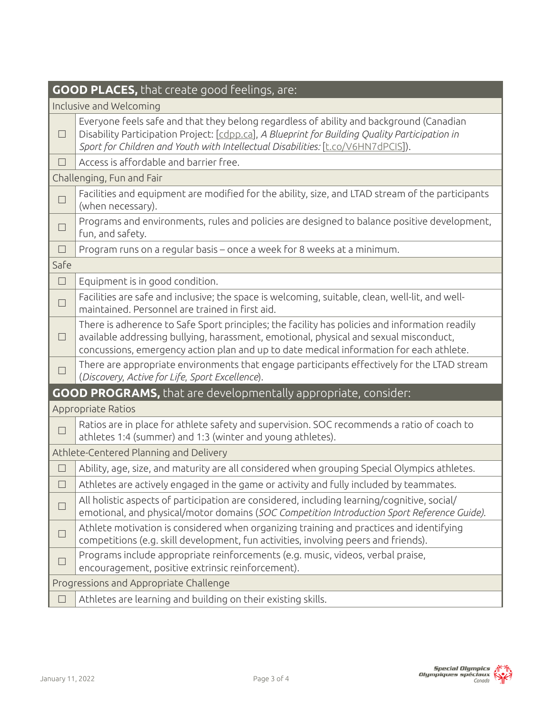| GOOD PLACES, that create good feelings, are:                          |                                                                                                                                                                                                                                                                                    |  |  |
|-----------------------------------------------------------------------|------------------------------------------------------------------------------------------------------------------------------------------------------------------------------------------------------------------------------------------------------------------------------------|--|--|
| Inclusive and Welcoming                                               |                                                                                                                                                                                                                                                                                    |  |  |
| $\Box$                                                                | Everyone feels safe and that they belong regardless of ability and background (Canadian<br>Disability Participation Project: [cdpp.ca], A Blueprint for Building Quality Participation in<br>Sport for Children and Youth with Intellectual Disabilities: [t.co/V6HN7dPCIS]).      |  |  |
| $\vert \ \ \vert$                                                     | Access is affordable and barrier free.                                                                                                                                                                                                                                             |  |  |
| Challenging, Fun and Fair                                             |                                                                                                                                                                                                                                                                                    |  |  |
| $\Box$                                                                | Facilities and equipment are modified for the ability, size, and LTAD stream of the participants<br>(when necessary).                                                                                                                                                              |  |  |
| $\vert \ \ \vert$                                                     | Programs and environments, rules and policies are designed to balance positive development,<br>fun, and safety.                                                                                                                                                                    |  |  |
| $\Box$                                                                | Program runs on a regular basis - once a week for 8 weeks at a minimum.                                                                                                                                                                                                            |  |  |
| Safe                                                                  |                                                                                                                                                                                                                                                                                    |  |  |
| $\Box$                                                                | Equipment is in good condition.                                                                                                                                                                                                                                                    |  |  |
| $\Box$                                                                | Facilities are safe and inclusive; the space is welcoming, suitable, clean, well-lit, and well-<br>maintained. Personnel are trained in first aid.                                                                                                                                 |  |  |
| $\Box$                                                                | There is adherence to Safe Sport principles; the facility has policies and information readily<br>available addressing bullying, harassment, emotional, physical and sexual misconduct,<br>concussions, emergency action plan and up to date medical information for each athlete. |  |  |
|                                                                       | There are appropriate environments that engage participants effectively for the LTAD stream<br>(Discovery, Active for Life, Sport Excellence).                                                                                                                                     |  |  |
| <b>GOOD PROGRAMS,</b> that are developmentally appropriate, consider: |                                                                                                                                                                                                                                                                                    |  |  |
| Appropriate Ratios                                                    |                                                                                                                                                                                                                                                                                    |  |  |
| $\Box$                                                                | Ratios are in place for athlete safety and supervision. SOC recommends a ratio of coach to<br>athletes 1:4 (summer) and 1:3 (winter and young athletes).                                                                                                                           |  |  |
| Athlete-Centered Planning and Delivery                                |                                                                                                                                                                                                                                                                                    |  |  |
|                                                                       | Ability, age, size, and maturity are all considered when grouping Special Olympics athletes.                                                                                                                                                                                       |  |  |
|                                                                       | $\Box$ Athletes are actively engaged in the game or activity and fully included by teammates.                                                                                                                                                                                      |  |  |
| $\Box$                                                                | All holistic aspects of participation are considered, including learning/cognitive, social/<br>emotional, and physical/motor domains (SOC Competition Introduction Sport Reference Guide).                                                                                         |  |  |
| . I                                                                   | Athlete motivation is considered when organizing training and practices and identifying<br>competitions (e.g. skill development, fun activities, involving peers and friends).                                                                                                     |  |  |
| H                                                                     | Programs include appropriate reinforcements (e.g. music, videos, verbal praise,<br>encouragement, positive extrinsic reinforcement).                                                                                                                                               |  |  |
| Progressions and Appropriate Challenge                                |                                                                                                                                                                                                                                                                                    |  |  |
|                                                                       | Athletes are learning and building on their existing skills.                                                                                                                                                                                                                       |  |  |